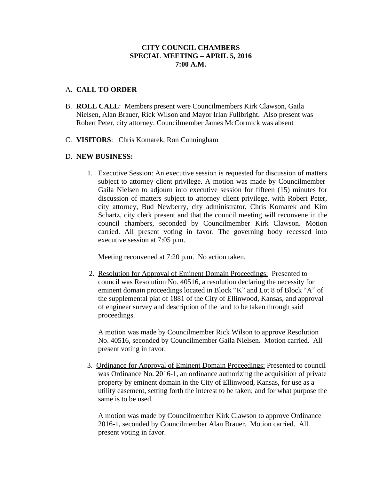## **CITY COUNCIL CHAMBERS SPECIAL MEETING – APRIL 5, 2016 7:00 A.M.**

## A. **CALL TO ORDER**

- B. **ROLL CALL**: Members present were Councilmembers Kirk Clawson, Gaila Nielsen, Alan Brauer, Rick Wilson and Mayor Irlan Fullbright. Also present was Robert Peter, city attorney. Councilmember James McCormick was absent
- C. **VISITORS**: Chris Komarek, Ron Cunningham

## D. **NEW BUSINESS:**

1. Executive Session: An executive session is requested for discussion of matters subject to attorney client privilege. A motion was made by Councilmember Gaila Nielsen to adjourn into executive session for fifteen (15) minutes for discussion of matters subject to attorney client privilege, with Robert Peter, city attorney, Bud Newberry, city administrator, Chris Komarek and Kim Schartz, city clerk present and that the council meeting will reconvene in the council chambers, seconded by Councilmember Kirk Clawson. Motion carried. All present voting in favor. The governing body recessed into executive session at 7:05 p.m.

Meeting reconvened at 7:20 p.m. No action taken.

 2. Resolution for Approval of Eminent Domain Proceedings: Presented to council was Resolution No. 40516, a resolution declaring the necessity for eminent domain proceedings located in Block "K" and Lot 8 of Block "A" of the supplemental plat of 1881 of the City of Ellinwood, Kansas, and approval of engineer survey and description of the land to be taken through said proceedings.

A motion was made by Councilmember Rick Wilson to approve Resolution No. 40516, seconded by Councilmember Gaila Nielsen. Motion carried. All present voting in favor.

 3. Ordinance for Approval of Eminent Domain Proceedings: Presented to council was Ordinance No. 2016-1, an ordinance authorizing the acquisition of private property by eminent domain in the City of Ellinwood, Kansas, for use as a utility easement, setting forth the interest to be taken; and for what purpose the same is to be used.

A motion was made by Councilmember Kirk Clawson to approve Ordinance 2016-1, seconded by Councilmember Alan Brauer. Motion carried. All present voting in favor.